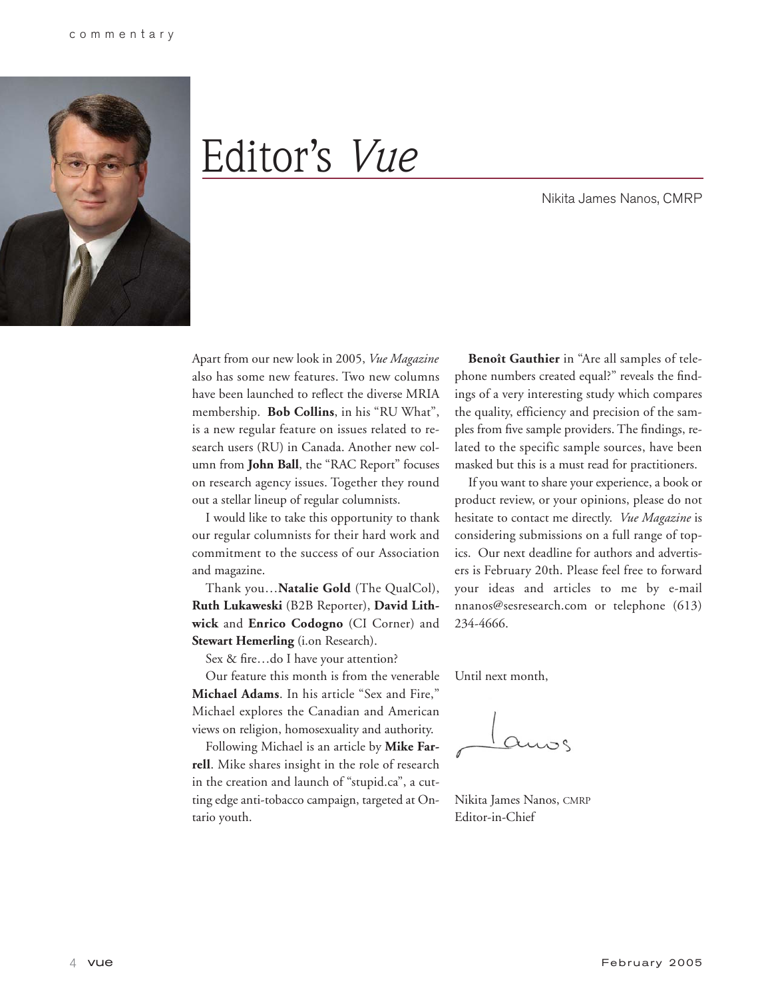

# Editor's *Vue*

Nikita James Nanos, CMRP

Apart from our new look in 2005, *Vue Magazine* also has some new features. Two new columns have been launched to reflect the diverse MRIA membership. **Bob Collins**, in his "RU What", is a new regular feature on issues related to research users (RU) in Canada. Another new column from **John Ball**, the "RAC Report" focuses on research agency issues. Together they round out a stellar lineup of regular columnists.

I would like to take this opportunity to thank our regular columnists for their hard work and commitment to the success of our Association and magazine.

Thank you…**Natalie Gold** (The QualCol), **Ruth Lukaweski** (B2B Reporter), **David Lithwick** and **Enrico Codogno** (CI Corner) and **Stewart Hemerling** (i.on Research).

Sex & fire…do I have your attention?

Our feature this month is from the venerable **Michael Adams**. In his article "Sex and Fire," Michael explores the Canadian and American views on religion, homosexuality and authority.

Following Michael is an article by **Mike Farrell**. Mike shares insight in the role of research in the creation and launch of "stupid.ca", a cutting edge anti-tobacco campaign, targeted at Ontario youth.

**Benoît Gauthier** in "Are all samples of telephone numbers created equal?" reveals the findings of a very interesting study which compares the quality, efficiency and precision of the samples from five sample providers. The findings, related to the specific sample sources, have been masked but this is a must read for practitioners.

If you want to share your experience, a book or product review, or your opinions, please do not hesitate to contact me directly. *Vue Magazine* is considering submissions on a full range of topics. Our next deadline for authors and advertisers is February 20th. Please feel free to forward your ideas and articles to me by e-mail nnanos@sesresearch.com or telephone (613) 234-4666.

Until next month,

Nikita James Nanos, CMRP Editor-in-Chief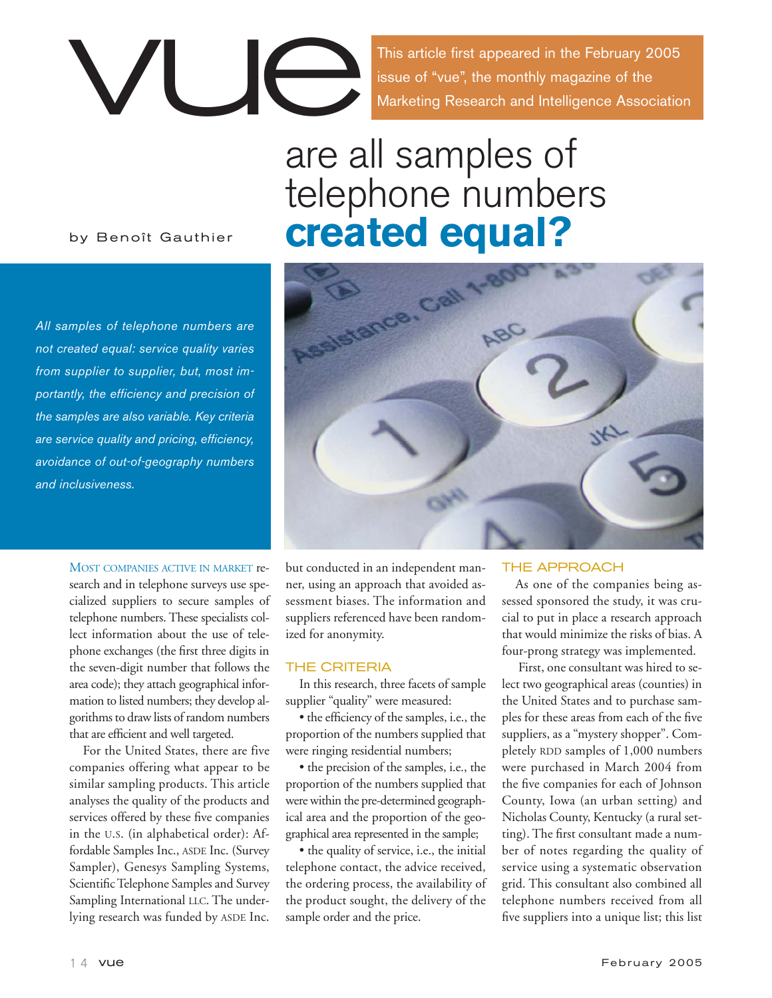

issue of "vue", the monthly magazine of the Marketing Research and Intelligence Association

## are all samples of telephone numbers **created equal?**

ance, Cal

by Benoît Gauthier

*All samples of telephone numbers are not created equal: service quality varies from supplier to supplier, but, most importantly, the efficiency and precision of the samples are also variable. Key criteria are service quality and pricing, efficiency, avoidance of out-of-geography numbers and inclusiveness.* 

> MOST COMPANIES ACTIVE IN MARKET research and in telephone surveys use specialized suppliers to secure samples of telephone numbers. These specialists collect information about the use of telephone exchanges (the first three digits in the seven-digit number that follows the area code); they attach geographical information to listed numbers; they develop algorithms to draw lists of random numbers that are efficient and well targeted.

> For the United States, there are five companies offering what appear to be similar sampling products. This article analyses the quality of the products and services offered by these five companies in the U.S. (in alphabetical order): Affordable Samples Inc., ASDE Inc. (Survey Sampler), Genesys Sampling Systems, Scientific Telephone Samples and Survey Sampling International LLC. The underlying research was funded by ASDE Inc.



but conducted in an independent manner, using an approach that avoided assessment biases. The information and suppliers referenced have been randomized for anonymity.

## THE CRITERIA

In this research, three facets of sample supplier "quality" were measured:

• the efficiency of the samples, i.e., the proportion of the numbers supplied that were ringing residential numbers;

• the precision of the samples, i.e., the proportion of the numbers supplied that were within the pre-determined geographical area and the proportion of the geographical area represented in the sample;

• the quality of service, i.e., the initial telephone contact, the advice received, the ordering process, the availability of the product sought, the delivery of the sample order and the price.

## THE APPROACH

As one of the companies being assessed sponsored the study, it was crucial to put in place a research approach that would minimize the risks of bias. A four-prong strategy was implemented.

First, one consultant was hired to select two geographical areas (counties) in the United States and to purchase samples for these areas from each of the five suppliers, as a "mystery shopper". Completely RDD samples of 1,000 numbers were purchased in March 2004 from the five companies for each of Johnson County, Iowa (an urban setting) and Nicholas County, Kentucky (a rural setting). The first consultant made a number of notes regarding the quality of service using a systematic observation grid. This consultant also combined all telephone numbers received from all five suppliers into a unique list; this list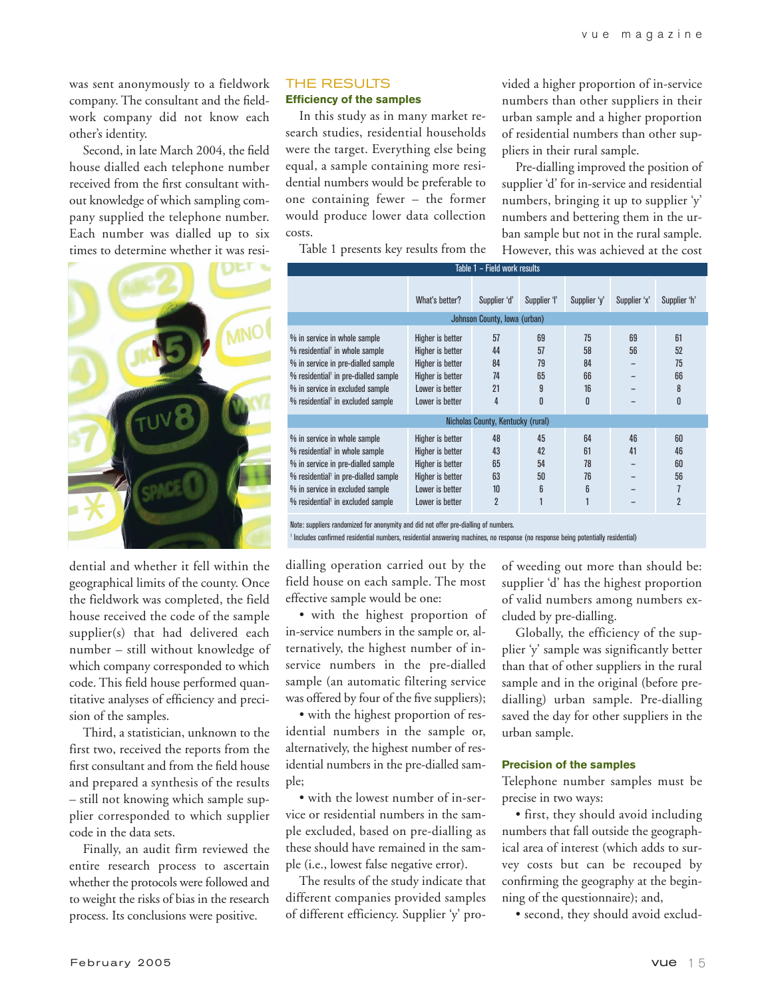was sent anonymously to a fieldwork company. The consultant and the fieldwork company did not know each other's identity.

Second, in late March 2004, the field house dialled each telephone number received from the first consultant without knowledge of which sampling company supplied the telephone number. Each number was dialled up to six times to determine whether it was resi-



dential and whether it fell within the geographical limits of the county. Once the fieldwork was completed, the field house received the code of the sample supplier(s) that had delivered each number – still without knowledge of which company corresponded to which code. This field house performed quantitative analyses of efficiency and precision of the samples.

Third, a statistician, unknown to the first two, received the reports from the first consultant and from the field house and prepared a synthesis of the results – still not knowing which sample supplier corresponded to which supplier code in the data sets.

Finally, an audit firm reviewed the entire research process to ascertain whether the protocols were followed and to weight the risks of bias in the research process. Its conclusions were positive.

## THE RESULTS

**Efficiency of the samples**

In this study as in many market research studies, residential households were the target. Everything else being equal, a sample containing more residential numbers would be preferable to one containing fewer – the former would produce lower data collection costs.

Table 1 presents key results from the

vided a higher proportion of in-service numbers than other suppliers in their urban sample and a higher proportion of residential numbers than other suppliers in their rural sample.

Pre-dialling improved the position of supplier 'd' for in-service and residential numbers, bringing it up to supplier 'y' numbers and bettering them in the urban sample but not in the rural sample. However, this was achieved at the cost

| Table 1 - Field work results                                                                                                                                                                                                                             |                                                                                                                    |                                              |                                |                                 |              |                                             |  |  |
|----------------------------------------------------------------------------------------------------------------------------------------------------------------------------------------------------------------------------------------------------------|--------------------------------------------------------------------------------------------------------------------|----------------------------------------------|--------------------------------|---------------------------------|--------------|---------------------------------------------|--|--|
|                                                                                                                                                                                                                                                          | What's better?                                                                                                     | Supplier 'd'<br>Supplier 'l'                 |                                | Supplier 'y'                    | Supplier 'x' | Supplier 'h'                                |  |  |
| Johnson County, Iowa (urban)                                                                                                                                                                                                                             |                                                                                                                    |                                              |                                |                                 |              |                                             |  |  |
| % in service in whole sample<br>% residential <sup>1</sup> in whole sample<br>% in service in pre-dialled sample<br>% residential <sup>1</sup> in pre-dialled sample<br>% in service in excluded sample<br>% residential <sup>1</sup> in excluded sample | Higher is better<br>Higher is better<br>Higher is better<br>Higher is better<br>Lower is better<br>Lower is better | 57<br>44<br>84<br>74<br>21<br>4              | 69<br>57<br>79<br>65<br>9<br>0 | 75<br>58<br>84<br>66<br>16<br>n | 69<br>56     | 61<br>52<br>75<br>66<br>8<br>0              |  |  |
|                                                                                                                                                                                                                                                          |                                                                                                                    | Nicholas County, Kentucky (rural)            |                                |                                 |              |                                             |  |  |
| % in service in whole sample<br>% residential' in whole sample<br>% in service in pre-dialled sample<br>% residential <sup>1</sup> in pre-dialled sample<br>% in service in excluded sample<br>% residential <sup>1</sup> in excluded sample             | Higher is better<br>Higher is better<br>Higher is better<br>Higher is better<br>Lower is better<br>Lower is better | 48<br>43<br>65<br>63<br>10<br>$\overline{2}$ | 45<br>42<br>54<br>50<br>6      | 64<br>61<br>78<br>76<br>6       | 46<br>41     | 60<br>46<br>60<br>56<br>7<br>$\overline{2}$ |  |  |

Note: suppliers randomized for anonymity and did not offer pre-dialling of numbers.

<sup>1</sup> Includes confirmed residential numbers, residential answering machines, no response (no response being potentially residential)

dialling operation carried out by the field house on each sample. The most effective sample would be one:

• with the highest proportion of in-service numbers in the sample or, alternatively, the highest number of inservice numbers in the pre-dialled sample (an automatic filtering service was offered by four of the five suppliers);

• with the highest proportion of residential numbers in the sample or, alternatively, the highest number of residential numbers in the pre-dialled sample;

• with the lowest number of in-service or residential numbers in the sample excluded, based on pre-dialling as these should have remained in the sample (i.e., lowest false negative error).

The results of the study indicate that different companies provided samples of different efficiency. Supplier 'y' proof weeding out more than should be: supplier 'd' has the highest proportion of valid numbers among numbers excluded by pre-dialling.

Globally, the efficiency of the supplier 'y' sample was significantly better than that of other suppliers in the rural sample and in the original (before predialling) urban sample. Pre-dialling saved the day for other suppliers in the urban sample.

#### **Precision of the samples**

Telephone number samples must be precise in two ways:

• first, they should avoid including numbers that fall outside the geographical area of interest (which adds to survey costs but can be recouped by confirming the geography at the beginning of the questionnaire); and,

• second, they should avoid exclud-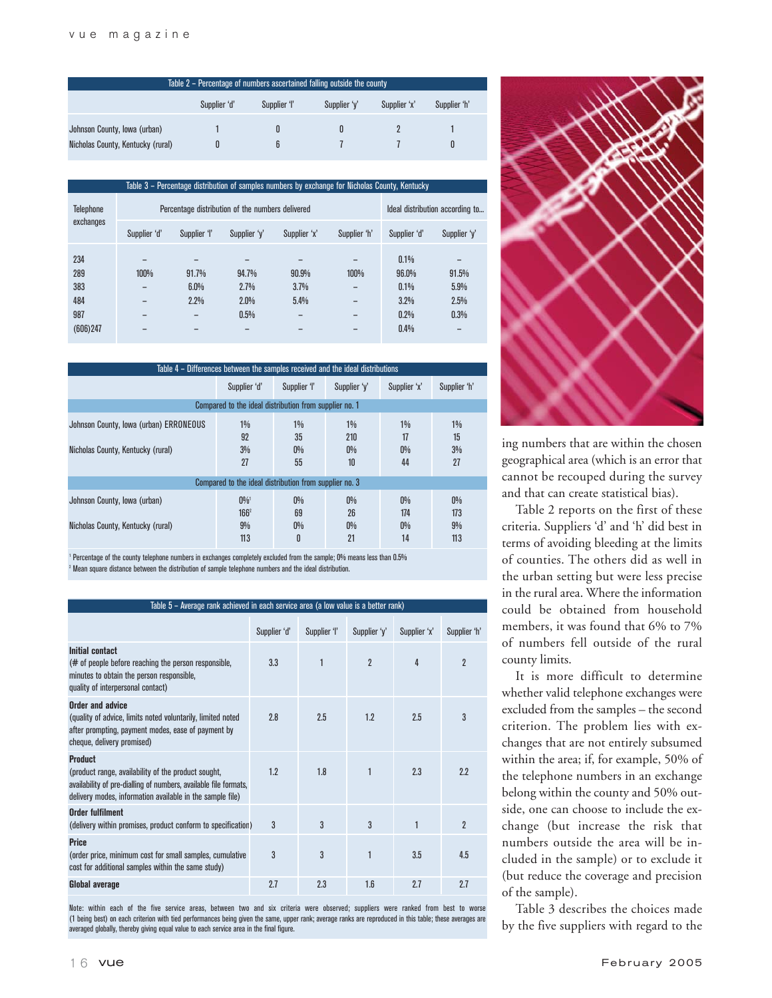| Table 2 – Percentage of numbers ascertained falling outside the county       |  |  |  |  |  |  |  |  |
|------------------------------------------------------------------------------|--|--|--|--|--|--|--|--|
| Supplier 'd'<br>Supplier 'l'<br>Supplier 'h'<br>Supplier 'y'<br>Supplier 'x' |  |  |  |  |  |  |  |  |
| Johnson County, Iowa (urban)                                                 |  |  |  |  |  |  |  |  |
| Nicholas County, Kentucky (rural)                                            |  |  |  |  |  |  |  |  |

| Table 3 – Percentage distribution of samples numbers by exchange for Nicholas County, Kentucky |              |                                                  |                                 |                       |              |                                       |                               |
|------------------------------------------------------------------------------------------------|--------------|--------------------------------------------------|---------------------------------|-----------------------|--------------|---------------------------------------|-------------------------------|
| <b>Telephone</b>                                                                               |              | Percentage distribution of the numbers delivered | Ideal distribution according to |                       |              |                                       |                               |
| exchanges                                                                                      | Supplier 'd' | Supplier 'l'                                     | Supplier 'y'                    | Supplier 'x'          | Supplier 'h' | Supplier 'd'                          | Supplier 'y'                  |
| 234<br>289<br>383<br>484<br>987                                                                | 100%         | 91.7%<br>6.0%<br>2.2%                            | 94.7%<br>2.7%<br>2.0%<br>0.5%   | 90.9%<br>3.7%<br>5.4% | 100%         | 0.1%<br>96.0%<br>0.1%<br>3.2%<br>0.2% | 91.5%<br>5.9%<br>2.5%<br>0.3% |
| (606)247                                                                                       |              |                                                  |                                 |                       |              | 0.4%                                  |                               |

| Table 4 – Differences between the samples received and the ideal distributions |                                                     |                            |                             |                             |                           |  |  |
|--------------------------------------------------------------------------------|-----------------------------------------------------|----------------------------|-----------------------------|-----------------------------|---------------------------|--|--|
|                                                                                | Supplier 'd'                                        | Supplier 'l'               | Supplier 'y'                | Supplier 'x'                | Supplier 'h'              |  |  |
| Compared to the ideal distribution from supplier no. 1                         |                                                     |                            |                             |                             |                           |  |  |
| Johnson County, Iowa (urban) ERRONEOUS<br>Nicholas County, Kentucky (rural)    | $1\%$<br>92<br>3%<br>27                             | $1\%$<br>35<br>$0\%$<br>55 | $1\%$<br>210<br>$0\%$<br>10 | $1\%$<br>17<br>$0\%$<br>44  | $1\%$<br>15<br>3%<br>27   |  |  |
| Compared to the ideal distribution from supplier no. 3                         |                                                     |                            |                             |                             |                           |  |  |
| Johnson County, Iowa (urban)<br>Nicholas County, Kentucky (rural)              | $0\%$ <sup>1</sup><br>166 <sup>2</sup><br>9%<br>113 | $0\%$<br>69<br>$0\%$<br>0  | $0\%$<br>26<br>$0\%$<br>21  | $0\%$<br>174<br>$0\%$<br>14 | $0\%$<br>173<br>9%<br>113 |  |  |

<sup>1</sup> Percentage of the county telephone numbers in exchanges completely excluded from the sample; 0% means less than 0.5% <sup>2</sup> Mean square distance between the distribution of sample telephone numbers and the ideal distribution.

| Table 5 - Average rank achieved in each service area (a low value is a better rank)                                                                                                                    |              |              |                |              |              |  |  |
|--------------------------------------------------------------------------------------------------------------------------------------------------------------------------------------------------------|--------------|--------------|----------------|--------------|--------------|--|--|
|                                                                                                                                                                                                        | Supplier 'd' | Supplier 'l' | Supplier 'y'   | Supplier 'x' | Supplier 'h' |  |  |
| Initial contact<br>(# of people before reaching the person responsible,<br>minutes to obtain the person responsible,<br>quality of interpersonal contact)                                              | 3.3          | 1            | $\overline{2}$ | 4            | 2            |  |  |
| Order and advice<br>(quality of advice, limits noted voluntarily, limited noted<br>after prompting, payment modes, ease of payment by<br>cheque, delivery promised)                                    | 2.8          | 2.5          | 1.2            | 2.5          | 3            |  |  |
| <b>Product</b><br>(product range, availability of the product sought,<br>availability of pre-dialling of numbers, available file formats,<br>delivery modes, information available in the sample file) | 1.2          | 1.8          | 1              | 2.3          | 2.2          |  |  |
| <b>Order fulfilment</b><br>(delivery within promises, product conform to specification)                                                                                                                | 3            | 3            | 3              | 1            | 2            |  |  |
| <b>Price</b><br>(order price, minimum cost for small samples, cumulative<br>cost for additional samples within the same study)                                                                         | 3            | 3            | $\mathbf{1}$   | 3.5          | 4.5          |  |  |
| <b>Global average</b>                                                                                                                                                                                  | 2.7          | 2.3          | 1.6            | 2.7          | 2.7          |  |  |

Note: within each of the five service areas, between two and six criteria were observed; suppliers were ranked from best to worse (1 being best) on each criterion with tied performances being given the same, upper rank; average ranks are reproduced in this table; these averages are averaged globally, thereby giving equal value to each service area in the final figure.



ing numbers that are within the chosen geographical area (which is an error that cannot be recouped during the survey and that can create statistical bias).

Table 2 reports on the first of these criteria. Suppliers 'd' and 'h' did best in terms of avoiding bleeding at the limits of counties. The others did as well in the urban setting but were less precise in the rural area. Where the information could be obtained from household members, it was found that 6% to 7% of numbers fell outside of the rural county limits.

It is more difficult to determine whether valid telephone exchanges were excluded from the samples – the second criterion. The problem lies with exchanges that are not entirely subsumed within the area; if, for example, 50% of the telephone numbers in an exchange belong within the county and 50% outside, one can choose to include the exchange (but increase the risk that numbers outside the area will be included in the sample) or to exclude it (but reduce the coverage and precision of the sample).

Table 3 describes the choices made by the five suppliers with regard to the